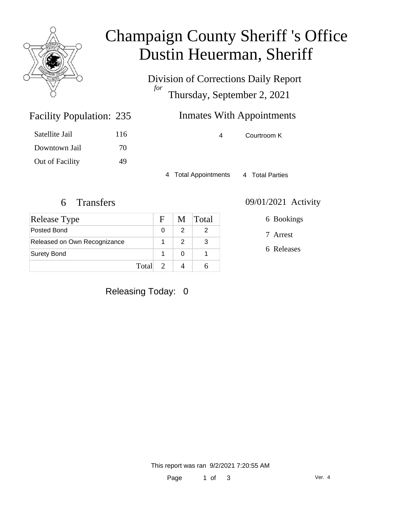

# Champaign County Sheriff 's Office Dustin Heuerman, Sheriff

Division of Corrections Daily Report *for* Thursday, September 2, 2021

## Inmates With Appointments

4 Courtroom K

4 Total Appointments 4 Total Parties

Facility Population: 235

Satellite Jail 116

Downtown Jail 70

Out of Facility 49

| Release Type                 | $\mathbf{F}$ |   | M Total |
|------------------------------|--------------|---|---------|
| Posted Bond                  | O            |   |         |
| Released on Own Recognizance |              | 2 | 3       |
| <b>Surety Bond</b>           |              |   |         |
|                              | Total 2      |   |         |

#### 6 Transfers 09/01/2021 Activity

6 Bookings

7 Arrest

6 Releases

Releasing Today: 0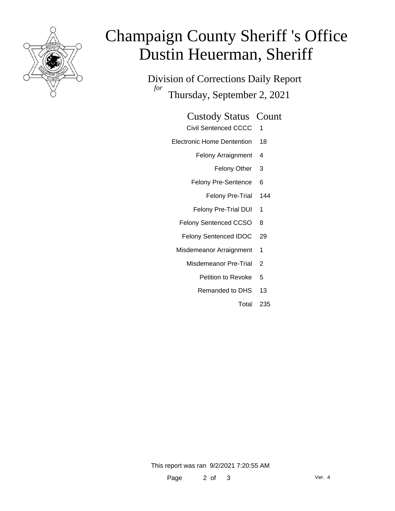

# Champaign County Sheriff 's Office Dustin Heuerman, Sheriff

Division of Corrections Daily Report *for* Thursday, September 2, 2021

#### Custody Status Count

- Civil Sentenced CCCC 1
- Electronic Home Dentention 18
	- Felony Arraignment 4
		- Felony Other 3
	- Felony Pre-Sentence 6
		- Felony Pre-Trial 144
	- Felony Pre-Trial DUI 1
	- Felony Sentenced CCSO 8
	- Felony Sentenced IDOC 29
	- Misdemeanor Arraignment 1
		- Misdemeanor Pre-Trial 2
			- Petition to Revoke 5
			- Remanded to DHS 13
				- Total 235

This report was ran 9/2/2021 7:20:55 AM